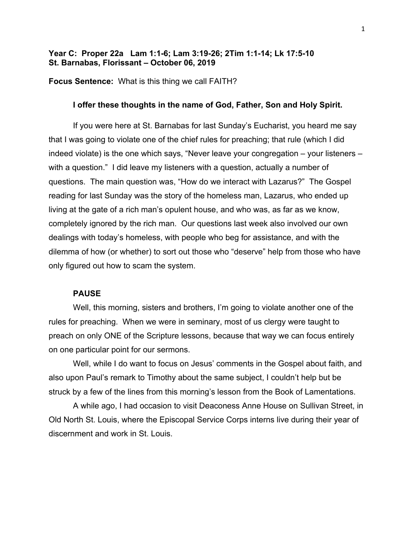# **Year C: Proper 22a Lam 1:1-6; Lam 3:19-26; 2Tim 1:1-14; Lk 17:5-10 St. Barnabas, Florissant – October 06, 2019**

**Focus Sentence:** What is this thing we call FAITH?

## **I offer these thoughts in the name of God, Father, Son and Holy Spirit.**

If you were here at St. Barnabas for last Sunday's Eucharist, you heard me say that I was going to violate one of the chief rules for preaching; that rule (which I did indeed violate) is the one which says, "Never leave your congregation – your listeners – with a question." I did leave my listeners with a question, actually a number of questions. The main question was, "How do we interact with Lazarus?" The Gospel reading for last Sunday was the story of the homeless man, Lazarus, who ended up living at the gate of a rich man's opulent house, and who was, as far as we know, completely ignored by the rich man. Our questions last week also involved our own dealings with today's homeless, with people who beg for assistance, and with the dilemma of how (or whether) to sort out those who "deserve" help from those who have only figured out how to scam the system.

### **PAUSE**

Well, this morning, sisters and brothers, I'm going to violate another one of the rules for preaching. When we were in seminary, most of us clergy were taught to preach on only ONE of the Scripture lessons, because that way we can focus entirely on one particular point for our sermons.

Well, while I do want to focus on Jesus' comments in the Gospel about faith, and also upon Paul's remark to Timothy about the same subject, I couldn't help but be struck by a few of the lines from this morning's lesson from the Book of Lamentations.

A while ago, I had occasion to visit Deaconess Anne House on Sullivan Street, in Old North St. Louis, where the Episcopal Service Corps interns live during their year of discernment and work in St. Louis.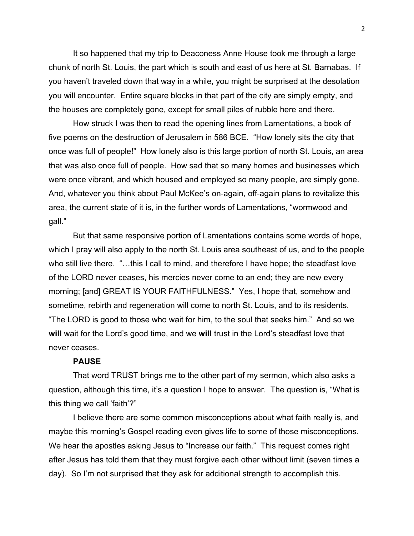It so happened that my trip to Deaconess Anne House took me through a large chunk of north St. Louis, the part which is south and east of us here at St. Barnabas. If you haven't traveled down that way in a while, you might be surprised at the desolation you will encounter. Entire square blocks in that part of the city are simply empty, and the houses are completely gone, except for small piles of rubble here and there.

How struck I was then to read the opening lines from Lamentations, a book of five poems on the destruction of Jerusalem in 586 BCE. "How lonely sits the city that once was full of people!" How lonely also is this large portion of north St. Louis, an area that was also once full of people. How sad that so many homes and businesses which were once vibrant, and which housed and employed so many people, are simply gone. And, whatever you think about Paul McKee's on-again, off-again plans to revitalize this area, the current state of it is, in the further words of Lamentations, "wormwood and gall."

But that same responsive portion of Lamentations contains some words of hope, which I pray will also apply to the north St. Louis area southeast of us, and to the people who still live there. "...this I call to mind, and therefore I have hope; the steadfast love of the LORD never ceases, his mercies never come to an end; they are new every morning; [and] GREAT IS YOUR FAITHFULNESS." Yes, I hope that, somehow and sometime, rebirth and regeneration will come to north St. Louis, and to its residents. "The LORD is good to those who wait for him, to the soul that seeks him." And so we **will** wait for the Lord's good time, and we **will** trust in the Lord's steadfast love that never ceases.

### **PAUSE**

That word TRUST brings me to the other part of my sermon, which also asks a question, although this time, it's a question I hope to answer. The question is, "What is this thing we call 'faith'?"

I believe there are some common misconceptions about what faith really is, and maybe this morning's Gospel reading even gives life to some of those misconceptions. We hear the apostles asking Jesus to "Increase our faith." This request comes right after Jesus has told them that they must forgive each other without limit (seven times a day). So I'm not surprised that they ask for additional strength to accomplish this.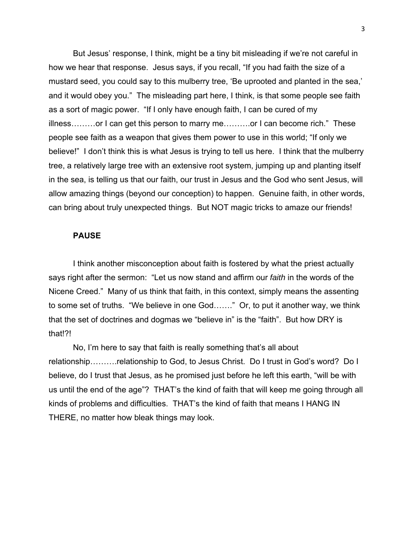But Jesus' response, I think, might be a tiny bit misleading if we're not careful in how we hear that response. Jesus says, if you recall, "If you had faith the size of a mustard seed, you could say to this mulberry tree, 'Be uprooted and planted in the sea,' and it would obey you." The misleading part here, I think, is that some people see faith as a sort of magic power. "If I only have enough faith, I can be cured of my illness………or I can get this person to marry me……….or I can become rich." These people see faith as a weapon that gives them power to use in this world; "If only we believe!" I don't think this is what Jesus is trying to tell us here. I think that the mulberry tree, a relatively large tree with an extensive root system, jumping up and planting itself in the sea, is telling us that our faith, our trust in Jesus and the God who sent Jesus, will allow amazing things (beyond our conception) to happen. Genuine faith, in other words, can bring about truly unexpected things. But NOT magic tricks to amaze our friends!

### **PAUSE**

I think another misconception about faith is fostered by what the priest actually says right after the sermon: "Let us now stand and affirm our *faith* in the words of the Nicene Creed." Many of us think that faith, in this context, simply means the assenting to some set of truths. "We believe in one God……." Or, to put it another way, we think that the set of doctrines and dogmas we "believe in" is the "faith". But how DRY is that!?!

No, I'm here to say that faith is really something that's all about relationship……….relationship to God, to Jesus Christ. Do I trust in God's word? Do I believe, do I trust that Jesus, as he promised just before he left this earth, "will be with us until the end of the age"? THAT's the kind of faith that will keep me going through all kinds of problems and difficulties. THAT's the kind of faith that means I HANG IN THERE, no matter how bleak things may look.